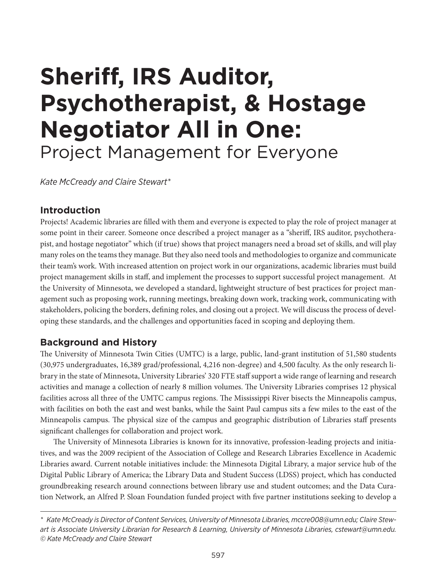# **Sheriff, IRS Auditor, Psychotherapist, & Hostage Negotiator All in One:** Project Management for Everyone

*Kate McCready and Claire Stewart\**

## **Introduction**

Projects! Academic libraries are filled with them and everyone is expected to play the role of project manager at some point in their career. Someone once described a project manager as a "sheriff, IRS auditor, psychotherapist, and hostage negotiator" which (if true) shows that project managers need a broad set of skills, and will play many roles on the teams they manage. But they also need tools and methodologies to organize and communicate their team's work. With increased attention on project work in our organizations, academic libraries must build project management skills in staff, and implement the processes to support successful project management. At the University of Minnesota, we developed a standard, lightweight structure of best practices for project management such as proposing work, running meetings, breaking down work, tracking work, communicating with stakeholders, policing the borders, defining roles, and closing out a project. We will discuss the process of developing these standards, and the challenges and opportunities faced in scoping and deploying them.

## **Background and History**

The University of Minnesota Twin Cities (UMTC) is a large, public, land-grant institution of 51,580 students (30,975 undergraduates, 16,389 grad/professional, 4,216 non-degree) and 4,500 faculty. As the only research library in the state of Minnesota, University Libraries' 320 FTE staff support a wide range of learning and research activities and manage a collection of nearly 8 million volumes. The University Libraries comprises 12 physical facilities across all three of the UMTC campus regions. The Mississippi River bisects the Minneapolis campus, with facilities on both the east and west banks, while the Saint Paul campus sits a few miles to the east of the Minneapolis campus. The physical size of the campus and geographic distribution of Libraries staff presents significant challenges for collaboration and project work.

The University of Minnesota Libraries is known for its innovative, profession-leading projects and initiatives, and was the 2009 recipient of the Association of College and Research Libraries Excellence in Academic Libraries award. Current notable initiatives include: the Minnesota Digital Library, a major service hub of the Digital Public Library of America; the Library Data and Student Success (LDSS) project, which has conducted groundbreaking research around connections between library use and student outcomes; and the Data Curation Network, an Alfred P. Sloan Foundation funded project with five partner institutions seeking to develop a

*<sup>\*</sup> Kate McCready is Director of Content Services, University of Minnesota Libraries, [mccre008@umn.edu;](mailto:mccre008@umn.edu) Claire Stewart is Associate University Librarian for Research & Learning, University of Minnesota Libraries, [cstewart@umn.edu.](mailto:cstewart@umn.edu) © Kate McCready and Claire Stewart*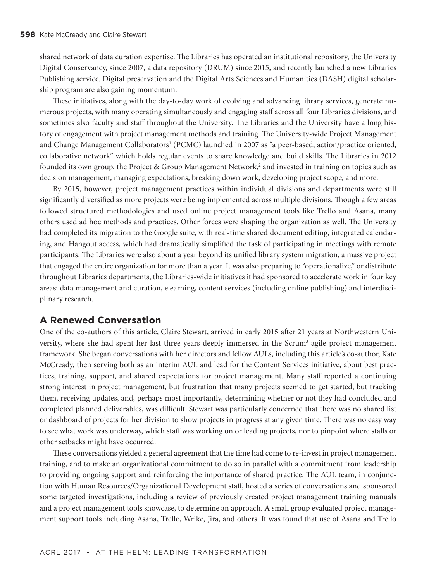shared network of data curation expertise. The Libraries has operated an institutional repository, the University Digital Conservancy, since 2007, a data repository (DRUM) since 2015, and recently launched a new Libraries Publishing service. Digital preservation and the Digital Arts Sciences and Humanities (DASH) digital scholarship program are also gaining momentum.

These initiatives, along with the day-to-day work of evolving and advancing library services, generate numerous projects, with many operating simultaneously and engaging staff across all four Libraries divisions, and sometimes also faculty and staff throughout the University. The Libraries and the University have a long history of engagement with project management methods and training. The University-wide Project Management and Change Management Collaborators<sup>1</sup> (PCMC) launched in 2007 as "a peer-based, action/practice oriented, collaborative network" which holds regular events to share knowledge and build skills. The Libraries in 2012 founded its own group, the Project & Group Management Network,<sup>2</sup> and invested in training on topics such as decision management, managing expectations, breaking down work, developing project scope, and more.

By 2015, however, project management practices within individual divisions and departments were still significantly diversified as more projects were being implemented across multiple divisions. Though a few areas followed structured methodologies and used online project management tools like Trello and Asana, many others used ad hoc methods and practices. Other forces were shaping the organization as well. The University had completed its migration to the Google suite, with real-time shared document editing, integrated calendaring, and Hangout access, which had dramatically simplified the task of participating in meetings with remote participants. The Libraries were also about a year beyond its unified library system migration, a massive project that engaged the entire organization for more than a year. It was also preparing to "operationalize," or distribute throughout Libraries departments, the Libraries-wide initiatives it had sponsored to accelerate work in four key areas: data management and curation, elearning, content services (including online publishing) and interdisciplinary research.

#### **A Renewed Conversation**

One of the co-authors of this article, Claire Stewart, arrived in early 2015 after 21 years at Northwestern University, where she had spent her last three years deeply immersed in the Scrum<sup>3</sup> agile project management framework. She began conversations with her directors and fellow AULs, including this article's co-author, Kate McCready, then serving both as an interim AUL and lead for the Content Services initiative, about best practices, training, support, and shared expectations for project management. Many staff reported a continuing strong interest in project management, but frustration that many projects seemed to get started, but tracking them, receiving updates, and, perhaps most importantly, determining whether or not they had concluded and completed planned deliverables, was difficult. Stewart was particularly concerned that there was no shared list or dashboard of projects for her division to show projects in progress at any given time. There was no easy way to see what work was underway, which staff was working on or leading projects, nor to pinpoint where stalls or other setbacks might have occurred.

These conversations yielded a general agreement that the time had come to re-invest in project management training, and to make an organizational commitment to do so in parallel with a commitment from leadership to providing ongoing support and reinforcing the importance of shared practice. The AUL team, in conjunction with Human Resources/Organizational Development staff, hosted a series of conversations and sponsored some targeted investigations, including a review of previously created project management training manuals and a project management tools showcase, to determine an approach. A small group evaluated project management support tools including Asana, Trello, Wrike, Jira, and others. It was found that use of Asana and Trello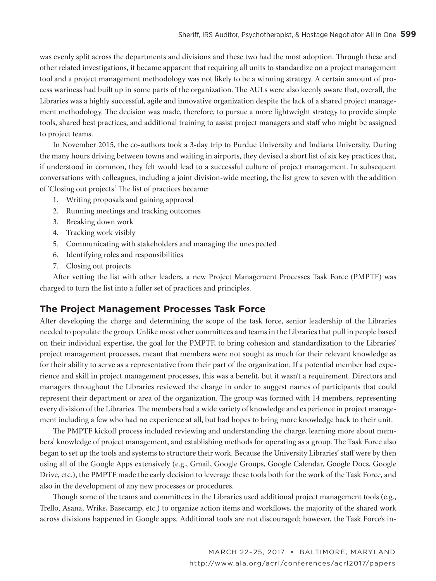was evenly split across the departments and divisions and these two had the most adoption. Through these and other related investigations, it became apparent that requiring all units to standardize on a project management tool and a project management methodology was not likely to be a winning strategy. A certain amount of process wariness had built up in some parts of the organization. The AULs were also keenly aware that, overall, the Libraries was a highly successful, agile and innovative organization despite the lack of a shared project management methodology. The decision was made, therefore, to pursue a more lightweight strategy to provide simple tools, shared best practices, and additional training to assist project managers and staff who might be assigned to project teams.

In November 2015, the co-authors took a 3-day trip to Purdue University and Indiana University. During the many hours driving between towns and waiting in airports, they devised a short list of six key practices that, if understood in common, they felt would lead to a successful culture of project management. In subsequent conversations with colleagues, including a joint division-wide meeting, the list grew to seven with the addition of 'Closing out projects.' The list of practices became:

- 1. Writing proposals and gaining approval
- 2. Running meetings and tracking outcomes
- 3. Breaking down work
- 4. Tracking work visibly
- 5. Communicating with stakeholders and managing the unexpected
- 6. Identifying roles and responsibilities
- 7. Closing out projects

After vetting the list with other leaders, a new Project Management Processes Task Force (PMPTF) was charged to turn the list into a fuller set of practices and principles.

#### **The Project Management Processes Task Force**

After developing the charge and determining the scope of the task force, senior leadership of the Libraries needed to populate the group. Unlike most other committees and teams in the Libraries that pull in people based on their individual expertise, the goal for the PMPTF, to bring cohesion and standardization to the Libraries' project management processes, meant that members were not sought as much for their relevant knowledge as for their ability to serve as a representative from their part of the organization. If a potential member had experience and skill in project management processes, this was a benefit, but it wasn't a requirement. Directors and managers throughout the Libraries reviewed the charge in order to suggest names of participants that could represent their department or area of the organization. The group was formed with 14 members, representing every division of the Libraries. The members had a wide variety of knowledge and experience in project management including a few who had no experience at all, but had hopes to bring more knowledge back to their unit.

The PMPTF kickoff process included reviewing and understanding the charge, learning more about members' knowledge of project management, and establishing methods for operating as a group. The Task Force also began to set up the tools and systems to structure their work. Because the University Libraries' staff were by then using all of the Google Apps extensively (e.g., Gmail, Google Groups, Google Calendar, Google Docs, Google Drive, etc.), the PMPTF made the early decision to leverage these tools both for the work of the Task Force, and also in the development of any new processes or procedures.

Though some of the teams and committees in the Libraries used additional project management tools (e.g., Trello, Asana, Wrike, Basecamp, etc.) to organize action items and workflows, the majority of the shared work across divisions happened in Google apps. Additional tools are not discouraged; however, the Task Force's in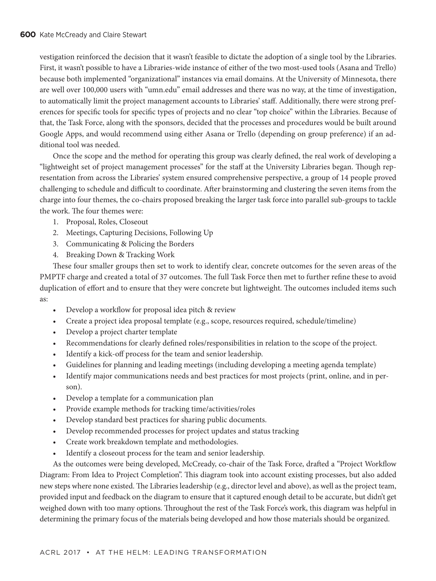vestigation reinforced the decision that it wasn't feasible to dictate the adoption of a single tool by the Libraries. First, it wasn't possible to have a Libraries-wide instance of either of the two most-used tools (Asana and Trello) because both implemented "organizational" instances via email domains. At the University of Minnesota, there are well over 100,000 users with "umn.edu" email addresses and there was no way, at the time of investigation, to automatically limit the project management accounts to Libraries' staff. Additionally, there were strong preferences for specific tools for specific types of projects and no clear "top choice" within the Libraries. Because of that, the Task Force, along with the sponsors, decided that the processes and procedures would be built around Google Apps, and would recommend using either Asana or Trello (depending on group preference) if an additional tool was needed.

Once the scope and the method for operating this group was clearly defined, the real work of developing a "lightweight set of project management processes" for the staff at the University Libraries began. Though representation from across the Libraries' system ensured comprehensive perspective, a group of 14 people proved challenging to schedule and difficult to coordinate. After brainstorming and clustering the seven items from the charge into four themes, the co-chairs proposed breaking the larger task force into parallel sub-groups to tackle the work. The four themes were:

- 1. Proposal, Roles, Closeout
- 2. Meetings, Capturing Decisions, Following Up
- 3. Communicating & Policing the Borders
- 4. Breaking Down & Tracking Work

These four smaller groups then set to work to identify clear, concrete outcomes for the seven areas of the PMPTF charge and created a total of 37 outcomes. The full Task Force then met to further refine these to avoid duplication of effort and to ensure that they were concrete but lightweight. The outcomes included items such as:

- Develop a workflow for proposal idea pitch & review
- Create a project idea proposal template (e.g., scope, resources required, schedule/timeline)
- Develop a project charter template
- Recommendations for clearly defined roles/responsibilities in relation to the scope of the project.
- Identify a kick-off process for the team and senior leadership.
- Guidelines for planning and leading meetings (including developing a meeting agenda template)
- Identify major communications needs and best practices for most projects (print, online, and in person).
- Develop a template for a communication plan
- Provide example methods for tracking time/activities/roles
- Develop standard best practices for sharing public documents.
- Develop recommended processes for project updates and status tracking
- Create work breakdown template and methodologies.
- Identify a closeout process for the team and senior leadership.

As the outcomes were being developed, McCready, co-chair of the Task Force, drafted a "Project Workflow Diagram: From Idea to Project Completion". This diagram took into account existing processes, but also added new steps where none existed. The Libraries leadership (e.g., director level and above), as well as the project team, provided input and feedback on the diagram to ensure that it captured enough detail to be accurate, but didn't get weighed down with too many options. Throughout the rest of the Task Force's work, this diagram was helpful in determining the primary focus of the materials being developed and how those materials should be organized.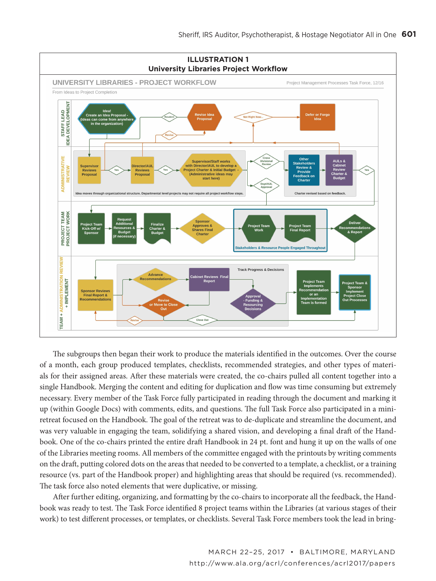

The subgroups then began their work to produce the materials identified in the outcomes. Over the course of a month, each group produced templates, checklists, recommended strategies, and other types of materials for their assigned areas. After these materials were created, the co-chairs pulled all content together into a single Handbook. Merging the content and editing for duplication and flow was time consuming but extremely necessary. Every member of the Task Force fully participated in reading through the document and marking it up (within Google Docs) with comments, edits, and questions. The full Task Force also participated in a miniretreat focused on the Handbook. The goal of the retreat was to de-duplicate and streamline the document, and was very valuable in engaging the team, solidifying a shared vision, and developing a final draft of the Handbook. One of the co-chairs printed the entire draft Handbook in 24 pt. font and hung it up on the walls of one of the Libraries meeting rooms. All members of the committee engaged with the printouts by writing comments on the draft, putting colored dots on the areas that needed to be converted to a template, a checklist, or a training resource (vs. part of the Handbook proper) and highlighting areas that should be required (vs. recommended). The task force also noted elements that were duplicative, or missing.

After further editing, organizing, and formatting by the co-chairs to incorporate all the feedback, the Handbook was ready to test. The Task Force identified 8 project teams within the Libraries (at various stages of their work) to test different processes, or templates, or checklists. Several Task Force members took the lead in bring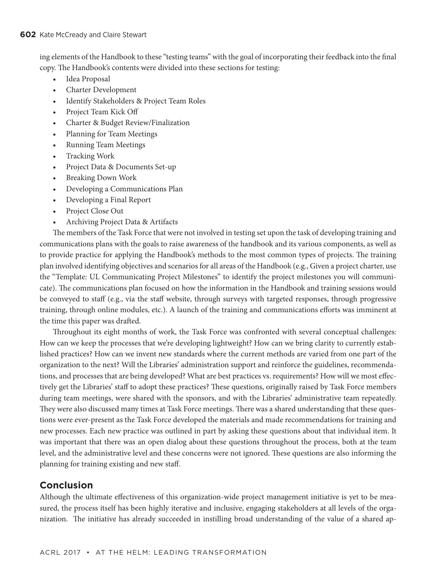ing elements of the Handbook to these "testing teams" with the goal of incorporating their feedback into the final copy. The Handbook's contents were divided into these sections for testing:

- Idea Proposal
- Charter Development
- Identify Stakeholders & Project Team Roles
- Project Team Kick Off
- Charter & Budget Review/Finalization
- Planning for Team Meetings
- Running Team Meetings
- Tracking Work
- Project Data & Documents Set-up
- Breaking Down Work
- Developing a Communications Plan
- Developing a Final Report
- Project Close Out
- Archiving Project Data & Artifacts

The members of the Task Force that were not involved in testing set upon the task of developing training and communications plans with the goals to raise awareness of the handbook and its various components, as well as to provide practice for applying the Handbook's methods to the most common types of projects. The training plan involved identifying objectives and scenarios for all areas of the Handbook (e.g., Given a project charter, use the "Template: UL Communicating Project Milestones" to identify the project milestones you will communicate). The communications plan focused on how the information in the Handbook and training sessions would be conveyed to staff (e.g., via the staff website, through surveys with targeted responses, through progressive training, through online modules, etc.). A launch of the training and communications efforts was imminent at the time this paper was drafted.

Throughout its eight months of work, the Task Force was confronted with several conceptual challenges: How can we keep the processes that we're developing lightweight? How can we bring clarity to currently established practices? How can we invent new standards where the current methods are varied from one part of the organization to the next? Will the Libraries' administration support and reinforce the guidelines, recommendations, and processes that are being developed? What are best practices vs. requirements? How will we most effectively get the Libraries' staff to adopt these practices? These questions, originally raised by Task Force members during team meetings, were shared with the sponsors, and with the Libraries' administrative team repeatedly. They were also discussed many times at Task Force meetings. There was a shared understanding that these questions were ever-present as the Task Force developed the materials and made recommendations for training and new processes. Each new practice was outlined in part by asking these questions about that individual item. It was important that there was an open dialog about these questions throughout the process, both at the team level, and the administrative level and these concerns were not ignored. These questions are also informing the planning for training existing and new staff.

## **Conclusion**

Although the ultimate effectiveness of this organization-wide project management initiative is yet to be measured, the process itself has been highly iterative and inclusive, engaging stakeholders at all levels of the organization. The initiative has already succeeded in instilling broad understanding of the value of a shared ap-